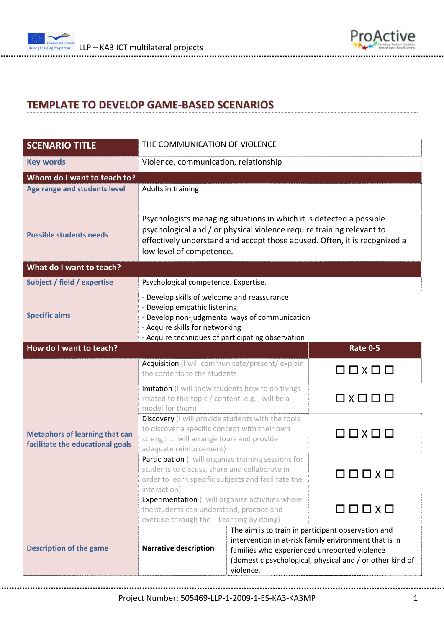



## **TEMPLATE TO DEVELOP GAME‐BASED SCENARIOS**

| <b>SCENARIO TITLE</b>                                                     | THE COMMUNICATION OF VIOLENCE                                                                                                                                                                                                                          |                                                                                                                                                                                                                                      |                                                  |  |  |
|---------------------------------------------------------------------------|--------------------------------------------------------------------------------------------------------------------------------------------------------------------------------------------------------------------------------------------------------|--------------------------------------------------------------------------------------------------------------------------------------------------------------------------------------------------------------------------------------|--------------------------------------------------|--|--|
| <b>Key words</b>                                                          | Violence, communication, relationship                                                                                                                                                                                                                  |                                                                                                                                                                                                                                      |                                                  |  |  |
| Whom do I want to teach to?                                               |                                                                                                                                                                                                                                                        |                                                                                                                                                                                                                                      |                                                  |  |  |
| Age range and students level                                              | Adults in training                                                                                                                                                                                                                                     |                                                                                                                                                                                                                                      |                                                  |  |  |
| <b>Possible students needs</b>                                            | Psychologists managing situations in which it is detected a possible<br>psychological and / or physical violence require training relevant to<br>effectively understand and accept those abused. Often, it is recognized a<br>low level of competence. |                                                                                                                                                                                                                                      |                                                  |  |  |
| What do I want to teach?                                                  |                                                                                                                                                                                                                                                        |                                                                                                                                                                                                                                      |                                                  |  |  |
| Subject / field / expertise                                               | Psychological competence. Expertise.                                                                                                                                                                                                                   |                                                                                                                                                                                                                                      |                                                  |  |  |
| <b>Specific aims</b>                                                      | - Develop skills of welcome and reassurance<br>- Develop empathic listening<br>- Develop non-judgmental ways of communication<br>- Acquire skills for networking<br>- Acquire techniques of participating observation                                  |                                                                                                                                                                                                                                      |                                                  |  |  |
| How do I want to teach?                                                   |                                                                                                                                                                                                                                                        |                                                                                                                                                                                                                                      | <b>Rate 0-5</b>                                  |  |  |
|                                                                           | Acquisition (I will communicate/present/ explain<br>the contents to the students                                                                                                                                                                       |                                                                                                                                                                                                                                      | $\square$ $\square$ $\times$ $\square$ $\square$ |  |  |
| <b>Metaphors of learning that can</b><br>facilitate the educational goals | Imitation (I will show students how to do things<br>related to this topic / content, e.g. I will be a<br>model for them)                                                                                                                               |                                                                                                                                                                                                                                      | 0 X 0 0 0                                        |  |  |
|                                                                           | Discovery (I will provide students with the tools<br>to discover a specific concept with their own<br>strength. I will arrange tours and provide<br>adequate reinforcement)                                                                            |                                                                                                                                                                                                                                      | O O X O O                                        |  |  |
|                                                                           | Participation (I will organize training sessions for<br>students to discuss, share and collaborate in<br>order to learn specific subjects and facilitate the<br>interaction)                                                                           |                                                                                                                                                                                                                                      | $\square$ $\square$ $\times$ $\square$           |  |  |
|                                                                           | Experimentation (I will organize activities where<br>the students can understand, practice and<br>exercise through the - Learning by doing)                                                                                                            |                                                                                                                                                                                                                                      | $\Box$                                           |  |  |
| <b>Description of the game</b>                                            | <b>Narrative description</b>                                                                                                                                                                                                                           | The aim is to train in participant observation and<br>intervention in at-risk family environment that is in<br>families who experienced unreported violence<br>(domestic psychological, physical and / or other kind of<br>violence. |                                                  |  |  |

Project Number: 505469‐LLP‐1‐2009‐1‐ES‐KA3‐KA3MP 1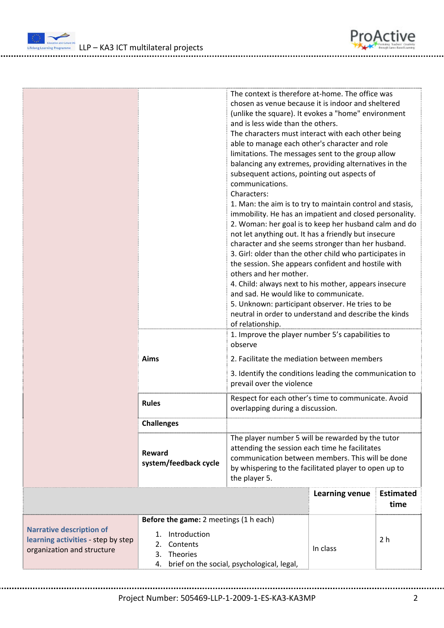

|                                                                                                     | The context is therefore at-home. The office was<br>chosen as venue because it is indoor and sheltered<br>(unlike the square). It evokes a "home" environment<br>and is less wide than the others.<br>The characters must interact with each other being<br>able to manage each other's character and role<br>limitations. The messages sent to the group allow<br>balancing any extremes, providing alternatives in the<br>subsequent actions, pointing out aspects of<br>communications.<br>Characters:<br>1. Man: the aim is to try to maintain control and stasis,<br>immobility. He has an impatient and closed personality.<br>2. Woman: her goal is to keep her husband calm and do<br>not let anything out. It has a friendly but insecure<br>character and she seems stronger than her husband.<br>3. Girl: older than the other child who participates in<br>the session. She appears confident and hostile with<br>others and her mother.<br>4. Child: always next to his mother, appears insecure<br>and sad. He would like to communicate.<br>5. Unknown: participant observer. He tries to be<br>neutral in order to understand and describe the kinds<br>of relationship.<br>1. Improve the player number 5's capabilities to<br>observe<br><b>Aims</b><br>2. Facilitate the mediation between members<br>3. Identify the conditions leading the communication to<br>prevail over the violence<br>Respect for each other's time to communicate. Avoid<br><b>Rules</b> |                                                                                                                                                                                                                                   |                       |                          |
|-----------------------------------------------------------------------------------------------------|--------------------------------------------------------------------------------------------------------------------------------------------------------------------------------------------------------------------------------------------------------------------------------------------------------------------------------------------------------------------------------------------------------------------------------------------------------------------------------------------------------------------------------------------------------------------------------------------------------------------------------------------------------------------------------------------------------------------------------------------------------------------------------------------------------------------------------------------------------------------------------------------------------------------------------------------------------------------------------------------------------------------------------------------------------------------------------------------------------------------------------------------------------------------------------------------------------------------------------------------------------------------------------------------------------------------------------------------------------------------------------------------------------------------------------------------------------------------------------------|-----------------------------------------------------------------------------------------------------------------------------------------------------------------------------------------------------------------------------------|-----------------------|--------------------------|
|                                                                                                     | <b>Challenges</b>                                                                                                                                                                                                                                                                                                                                                                                                                                                                                                                                                                                                                                                                                                                                                                                                                                                                                                                                                                                                                                                                                                                                                                                                                                                                                                                                                                                                                                                                    |                                                                                                                                                                                                                                   |                       |                          |
|                                                                                                     | Reward<br>system/feedback cycle                                                                                                                                                                                                                                                                                                                                                                                                                                                                                                                                                                                                                                                                                                                                                                                                                                                                                                                                                                                                                                                                                                                                                                                                                                                                                                                                                                                                                                                      | The player number 5 will be rewarded by the tutor<br>attending the session each time he facilitates<br>communication between members. This will be done<br>by whispering to the facilitated player to open up to<br>the player 5. |                       |                          |
|                                                                                                     |                                                                                                                                                                                                                                                                                                                                                                                                                                                                                                                                                                                                                                                                                                                                                                                                                                                                                                                                                                                                                                                                                                                                                                                                                                                                                                                                                                                                                                                                                      |                                                                                                                                                                                                                                   | <b>Learning venue</b> | <b>Estimated</b><br>time |
| <b>Narrative description of</b><br>learning activities - step by step<br>organization and structure | Before the game: 2 meetings (1 h each)<br>Introduction<br>1.<br>Contents<br>2.<br>Theories<br>3.<br>4.                                                                                                                                                                                                                                                                                                                                                                                                                                                                                                                                                                                                                                                                                                                                                                                                                                                                                                                                                                                                                                                                                                                                                                                                                                                                                                                                                                               | brief on the social, psychological, legal,                                                                                                                                                                                        | In class              | 2 <sub>h</sub>           |

Project Number: 505469‐LLP‐1‐2009‐1‐ES‐KA3‐KA3MP 2

ProActive